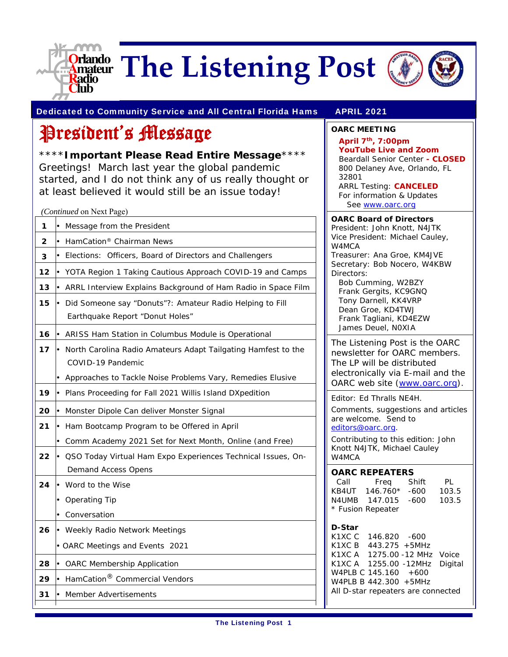

# **Criando** The Listening Post



Dedicated to Community Service and All Central Florida Hams APRIL 2021

**OARC MEETING April 7th, 7:00pm** 

### President's Message

\*\*\*\***Important Please Read Entire Message**\*\*\*\* Greetings! March last year the global pandemic started, and I do not think any of us really thought or at least believed it would still be an issue today!

|    | (Continued on Next Page)                                                   |
|----|----------------------------------------------------------------------------|
| 1  | Message from the President                                                 |
| 2  | HamCation <sup>®</sup> Chairman News                                       |
| 3  | ŀ<br>Elections:<br>Officers, Board of Directors and Challengers            |
| 12 | YOTA Region 1 Taking Cautious Approach COVID-19 and Camps                  |
| 13 | ARRL Interview Explains Background of Ham Radio in Space Film<br>$\bullet$ |
| 15 | ŀ<br>Did Someone say "Donuts"?: Amateur Radio Helping to Fill              |
|    | Earthquake Report "Donut Holes"                                            |
| 16 | ARISS Ham Station in Columbus Module is Operational<br>ŀ                   |
| 17 | North Carolina Radio Amateurs Adapt Tailgating Hamfest to the              |
|    | COVID-19 Pandemic                                                          |
|    | Approaches to Tackle Noise Problems Vary, Remedies Elusive<br>$\bullet$    |
| 19 | Plans Proceeding for Fall 2021 Willis Island DXpedition<br>I۰              |
| 20 | ŀ<br>Monster Dipole Can deliver Monster Signal                             |
| 21 | Ham Bootcamp Program to be Offered in April<br>$\bullet$                   |
|    | Comm Academy 2021 Set for Next Month, Online (and Free)                    |
| 22 | QSO Today Virtual Ham Expo Experiences Technical Issues, On-               |
|    | <b>Demand Access Opens</b>                                                 |
| 24 | Word to the Wise                                                           |
|    | Operating Tip                                                              |
|    | Conversation                                                               |
| 26 | Weekly Radio Network Meetings<br>$\bullet$                                 |
|    | • OARC Meetings and Events 2021                                            |
| 28 | ŀ<br><b>OARC Membership Application</b>                                    |
| 29 | HamCation <sup>®</sup> Commercial Vendors                                  |
| 31 | Member Advertisements                                                      |
|    |                                                                            |

**YouTube Live and Zoom**  Beardall Senior Center **- CLOSED**  800 Delaney Ave, Orlando, FL 32801 ARRL Testing: **CANCELED** For information & Updates See www.oarc.org **OARC Board of Directors** President: John Knott, N4JTK

Vice President: Michael Cauley, W4MCA Treasurer: Ana Groe, KM4JVE Secretary: Bob Nocero, W4KBW

Directors: Bob Cumming, W2BZY Frank Gergits, KC9GNQ Tony Darnell, KK4VRP Dean Groe, KD4TWJ Frank Tagliani, KD4EZW James Deuel, N0XIA

The Listening Post is the OARC newsletter for OARC members. The LP will be distributed electronically via E-mail and the OARC web site (www.oarc.org).

Editor: Ed Thralls NE4H.

Comments, suggestions and articles are welcome. Send to editors@oarc.org.

Contributing to this edition: John Knott N4JTK, Michael Cauley W4MCA

#### **OARC REPEATERS**

| Call              | Freq       | Shift | PL    |  |
|-------------------|------------|-------|-------|--|
| KB4UT             | $146.760*$ | -600  | 103.5 |  |
| N4UMB.            | 147.015    | -600  | 103.5 |  |
| * Fusion Repeater |            |       |       |  |

#### **D-Star**

K1XC C 146.820 -600 K1XC B 443.275 +5MHz K1XC A 1275.00 -12 MHz Voice K1XC A 1255.00 -12MHz Digital W4PLB C 145.160 +600 W4PLB B 442.300 +5MHz All D-star repeaters are connected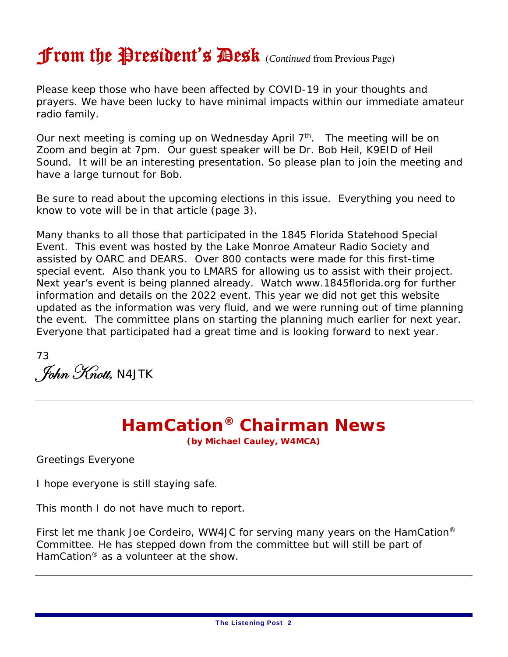## From the President's Desk (*Continued* from Previous Page)

Please keep those who have been affected by COVID-19 in your thoughts and prayers. We have been lucky to have minimal impacts within our immediate amateur radio family.

Our next meeting is coming up on Wednesday April  $7<sup>th</sup>$ . The meeting will be on Zoom and begin at 7pm. Our guest speaker will be Dr. Bob Heil, K9EID of Heil Sound. It will be an interesting presentation. So please plan to join the meeting and have a large turnout for Bob.

Be sure to read about the upcoming elections in this issue. Everything you need to know to vote will be in that article (page 3).

Many thanks to all those that participated in the 1845 Florida Statehood Special Event. This event was hosted by the Lake Monroe Amateur Radio Society and assisted by OARC and DEARS. Over 800 contacts were made for this first-time special event. Also thank you to LMARS for allowing us to assist with their project. Next year's event is being planned already. Watch www.1845florida.org for further information and details on the 2022 event. This year we did not get this website updated as the information was very fluid, and we were running out of time planning the event. The committee plans on starting the planning much earlier for next year. Everyone that participated had a great time and is looking forward to next year.

73  $\int$  *Fohn Knott,* N4JTK

### **HamCation® Chairman News**

**(by Michael Cauley, W4MCA)**

Greetings Everyone

I hope everyone is still staying safe.

This month I do not have much to report.

First let me thank Joe Cordeiro, WW4JC for serving many years on the HamCation® Committee. He has stepped down from the committee but will still be part of HamCation® as a volunteer at the show.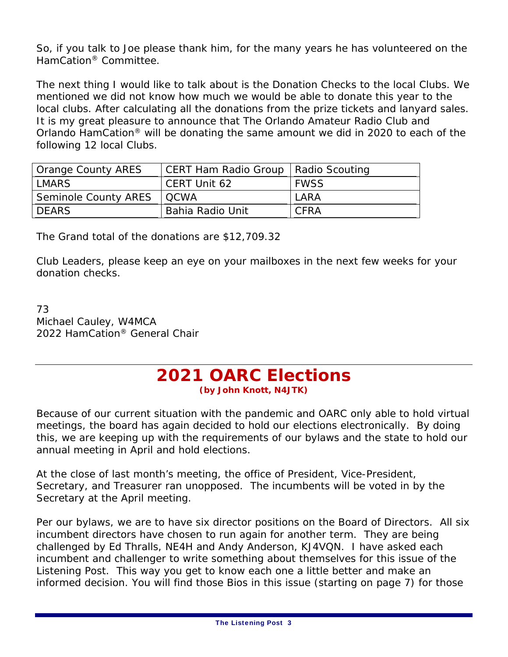So, if you talk to Joe please thank him, for the many years he has volunteered on the HamCation® Committee.

The next thing I would like to talk about is the Donation Checks to the local Clubs. We mentioned we did not know how much we would be able to donate this year to the local clubs. After calculating all the donations from the prize tickets and lanyard sales. It is my great pleasure to announce that The Orlando Amateur Radio Club and Orlando HamCation® will be donating the same amount we did in 2020 to each of the following 12 local Clubs.

| Orange County ARES          | CERT Ham Radio Group   Radio Scouting |             |
|-----------------------------|---------------------------------------|-------------|
| LMARS                       | CERT Unit 62                          | <b>FWSS</b> |
| Seminole County ARES   QCWA |                                       | LARA        |
| <b>DEARS</b>                | Bahia Radio Unit                      | CFRA        |

The Grand total of the donations are \$12,709.32

Club Leaders, please keep an eye on your mailboxes in the next few weeks for your donation checks.

73 Michael Cauley, W4MCA 2022 HamCation® General Chair

#### **2021 OARC Elections (by John Knott, N4JTK)**

Because of our current situation with the pandemic and OARC only able to hold virtual meetings, the board has again decided to hold our elections electronically. By doing this, we are keeping up with the requirements of our bylaws and the state to hold our annual meeting in April and hold elections.

At the close of last month's meeting, the office of President, Vice-President, Secretary, and Treasurer ran unopposed. The incumbents will be voted in by the Secretary at the April meeting.

Per our bylaws, we are to have six director positions on the Board of Directors. All six incumbent directors have chosen to run again for another term. They are being challenged by Ed Thralls, NE4H and Andy Anderson, KJ4VQN. I have asked each incumbent and challenger to write something about themselves for this issue of the Listening Post. This way you get to know each one a little better and make an informed decision. You will find those Bios in this issue (starting on page 7) for those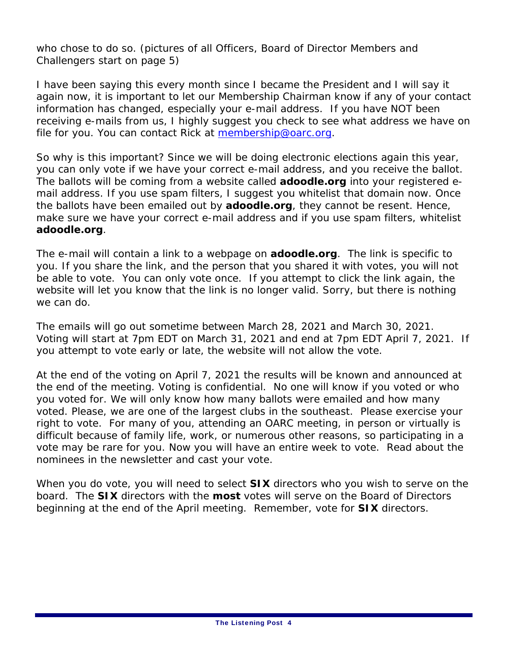who chose to do so. (pictures of all Officers, Board of Director Members and Challengers start on page 5)

I have been saying this every month since I became the President and I will say it again now, it is important to let our Membership Chairman know if any of your contact information has changed, especially your e-mail address. If you have NOT been receiving e-mails from us, I highly suggest you check to see what address we have on file for you. You can contact Rick at membership@oarc.org.

So why is this important? Since we will be doing electronic elections again this year, you can only vote if we have your correct e-mail address, and you receive the ballot. The ballots will be coming from a website called **adoodle.org** into your registered email address. If you use spam filters, I suggest you whitelist that domain now. Once the ballots have been emailed out by **adoodle.org**, they cannot be resent. Hence, make sure we have your correct e-mail address and if you use spam filters, whitelist **adoodle.org**.

The e-mail will contain a link to a webpage on **adoodle.org**. The link is specific to you. If you share the link, and the person that you shared it with votes, you will not be able to vote. You can only vote once. If you attempt to click the link again, the website will let you know that the link is no longer valid. Sorry, but there is nothing we can do.

The emails will go out sometime between March 28, 2021 and March 30, 2021. Voting will start at 7pm EDT on March 31, 2021 and end at 7pm EDT April 7, 2021. If you attempt to vote early or late, the website will not allow the vote.

At the end of the voting on April 7, 2021 the results will be known and announced at the end of the meeting. Voting is confidential. No one will know if you voted or who you voted for. We will only know how many ballots were emailed and how many voted. Please, we are one of the largest clubs in the southeast. Please exercise your right to vote. For many of you, attending an OARC meeting, in person or virtually is difficult because of family life, work, or numerous other reasons, so participating in a vote may be rare for you. Now you will have an entire week to vote. Read about the nominees in the newsletter and cast your vote.

When you do vote, you will need to select **SIX** directors who you wish to serve on the board. The **SIX** directors with the **most** votes will serve on the Board of Directors beginning at the end of the April meeting. Remember, vote for **SIX** directors.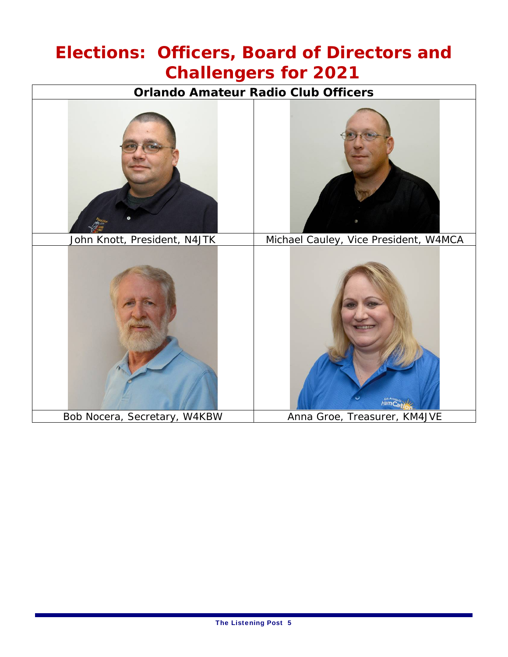### **Elections: Officers, Board of Directors and Challengers for 2021**

**Orlando Amateur Radio Club Officers** 

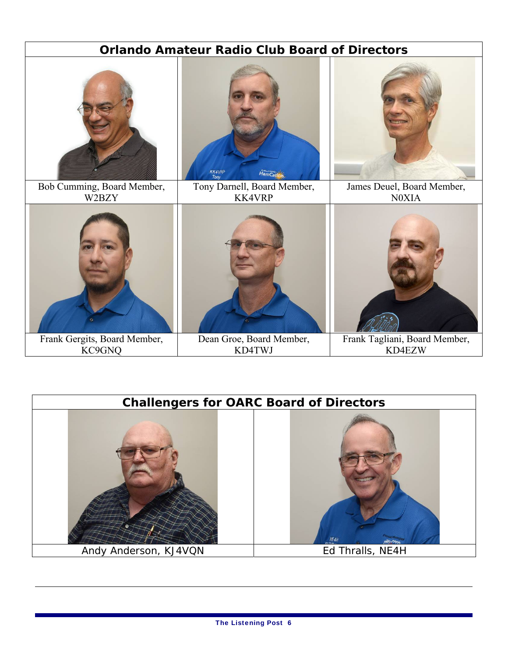| <b>Orlando Amateur Radio Club Board of Directors</b> |                                              |                                         |  |
|------------------------------------------------------|----------------------------------------------|-----------------------------------------|--|
|                                                      | KK4VRP<br>Tony<br>HamC                       |                                         |  |
| Bob Cumming, Board Member,<br>W2BZY                  | Tony Darnell, Board Member,<br><b>KK4VRP</b> | James Deuel, Board Member,<br>N0XIA     |  |
|                                                      |                                              |                                         |  |
| Frank Gergits, Board Member,<br>KC9GNQ               | Dean Groe, Board Member,<br>KD4TWJ           | Frank Tagliani, Board Member,<br>KD4EZW |  |

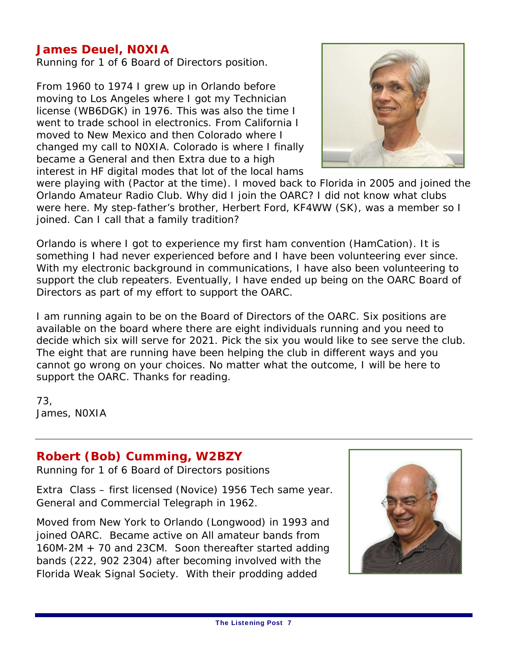#### **James Deuel, N0XIA**

Running for 1 of 6 Board of Directors position.

From 1960 to 1974 I grew up in Orlando before moving to Los Angeles where I got my Technician license (WB6DGK) in 1976. This was also the time I went to trade school in electronics. From California I moved to New Mexico and then Colorado where I changed my call to N0XIA. Colorado is where I finally became a General and then Extra due to a high interest in HF digital modes that lot of the local hams



were playing with (Pactor at the time). I moved back to Florida in 2005 and joined the Orlando Amateur Radio Club. Why did I join the OARC? I did not know what clubs were here. My step-father's brother, Herbert Ford, KF4WW (SK), was a member so I joined. Can I call that a family tradition?

Orlando is where I got to experience my first ham convention (HamCation). It is something I had never experienced before and I have been volunteering ever since. With my electronic background in communications, I have also been volunteering to support the club repeaters. Eventually, I have ended up being on the OARC Board of Directors as part of my effort to support the OARC.

I am running again to be on the Board of Directors of the OARC. Six positions are available on the board where there are eight individuals running and you need to decide which six will serve for 2021. Pick the six you would like to see serve the club. The eight that are running have been helping the club in different ways and you cannot go wrong on your choices. No matter what the outcome, I will be here to support the OARC. Thanks for reading.

73, James, N0XIA

#### **Robert (Bob) Cumming, W2BZY**

Running for 1 of 6 Board of Directors positions

Extra Class – first licensed (Novice) 1956 Tech same year. General and Commercial Telegraph in 1962.

Moved from New York to Orlando (Longwood) in 1993 and joined OARC. Became active on All amateur bands from 160M-2M + 70 and 23CM. Soon thereafter started adding bands (222, 902 2304) after becoming involved with the Florida Weak Signal Society. With their prodding added

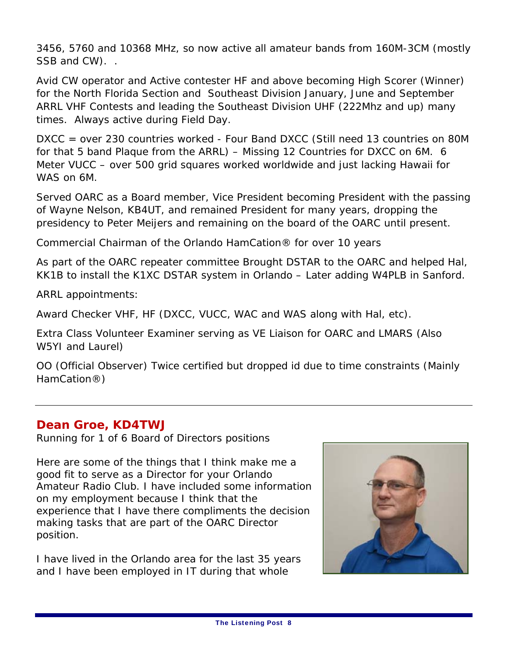3456, 5760 and 10368 MHz, so now active all amateur bands from 160M-3CM (mostly SSB and CW)...

Avid CW operator and Active contester HF and above becoming High Scorer (Winner) for the North Florida Section and Southeast Division January, June and September ARRL VHF Contests and leading the Southeast Division UHF (222Mhz and up) many times. Always active during Field Day.

DXCC = over 230 countries worked - Four Band DXCC (Still need 13 countries on 80M for that 5 band Plaque from the ARRL) – Missing 12 Countries for DXCC on 6M. 6 Meter VUCC – over 500 grid squares worked worldwide and just lacking Hawaii for WAS on 6M.

Served OARC as a Board member, Vice President becoming President with the passing of Wayne Nelson, KB4UT, and remained President for many years, dropping the presidency to Peter Meijers and remaining on the board of the OARC until present.

Commercial Chairman of the Orlando HamCation® for over 10 years

As part of the OARC repeater committee Brought DSTAR to the OARC and helped Hal, KK1B to install the K1XC DSTAR system in Orlando – Later adding W4PLB in Sanford.

ARRL appointments:

Award Checker VHF, HF (DXCC, VUCC, WAC and WAS along with Hal, etc).

Extra Class Volunteer Examiner serving as VE Liaison for OARC and LMARS (Also W5YI and Laurel)

OO (Official Observer) Twice certified but dropped id due to time constraints (Mainly HamCation®)

#### **Dean Groe, KD4TWJ**

Running for 1 of 6 Board of Directors positions

Here are some of the things that I think make me a good fit to serve as a Director for your Orlando Amateur Radio Club. I have included some information on my employment because I think that the experience that I have there compliments the decision making tasks that are part of the OARC Director position.

I have lived in the Orlando area for the last 35 years and I have been employed in IT during that whole

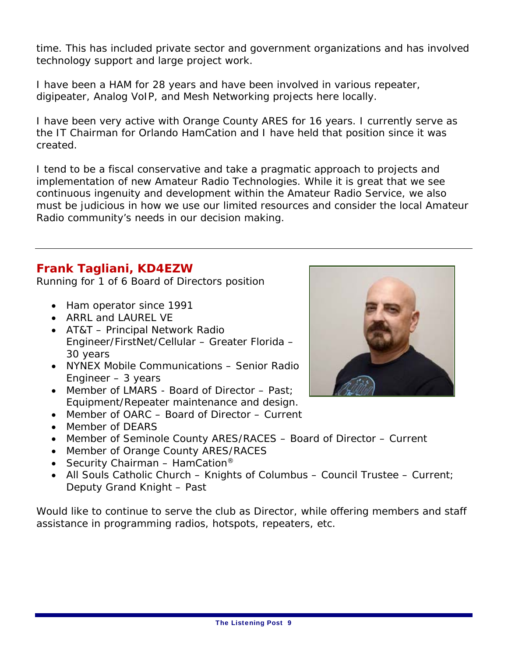time. This has included private sector and government organizations and has involved technology support and large project work.

I have been a HAM for 28 years and have been involved in various repeater, digipeater, Analog VoIP, and Mesh Networking projects here locally.

I have been very active with Orange County ARES for 16 years. I currently serve as the IT Chairman for Orlando HamCation and I have held that position since it was created.

I tend to be a fiscal conservative and take a pragmatic approach to projects and implementation of new Amateur Radio Technologies. While it is great that we see continuous ingenuity and development within the Amateur Radio Service, we also must be judicious in how we use our limited resources and consider the local Amateur Radio community's needs in our decision making.

#### **Frank Tagliani, KD4EZW**

Running for 1 of 6 Board of Directors position

- Ham operator since 1991
- ARRI and LAUREL VE
- AT&T Principal Network Radio Engineer/FirstNet/Cellular – Greater Florida – 30 years
- NYNEX Mobile Communications Senior Radio Engineer – 3 years
- Member of LMARS Board of Director Past; Equipment/Repeater maintenance and design.
- Member of OARC Board of Director Current
- Member of DEARS
- Member of Seminole County ARES/RACES Board of Director Current
- Member of Orange County ARES/RACES
- Security Chairman HamCation<sup>®</sup>
- All Souls Catholic Church Knights of Columbus Council Trustee Current; Deputy Grand Knight – Past

Would like to continue to serve the club as Director, while offering members and staff assistance in programming radios, hotspots, repeaters, etc.

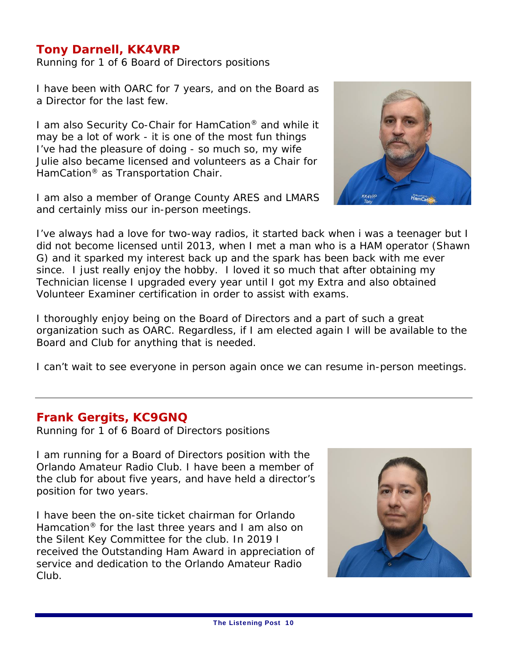#### **Tony Darnell, KK4VRP**

Running for 1 of 6 Board of Directors positions

I have been with OARC for 7 years, and on the Board as a Director for the last few.

I am also Security Co-Chair for HamCation® and while it may be a lot of work - it is one of the most fun things I've had the pleasure of doing - so much so, my wife Julie also became licensed and volunteers as a Chair for HamCation® as Transportation Chair.

I am also a member of Orange County ARES and LMARS and certainly miss our in-person meetings.



I've always had a love for two-way radios, it started back when i was a teenager but I did not become licensed until 2013, when I met a man who is a HAM operator (Shawn G) and it sparked my interest back up and the spark has been back with me ever since. I just really enjoy the hobby. I loved it so much that after obtaining my Technician license I upgraded every year until I got my Extra and also obtained Volunteer Examiner certification in order to assist with exams.

I thoroughly enjoy being on the Board of Directors and a part of such a great organization such as OARC. Regardless, if I am elected again I will be available to the Board and Club for anything that is needed.

I can't wait to see everyone in person again once we can resume in-person meetings.

#### **Frank Gergits, KC9GNQ**

Running for 1 of 6 Board of Directors positions

I am running for a Board of Directors position with the Orlando Amateur Radio Club. I have been a member of the club for about five years, and have held a director's position for two years.

I have been the on-site ticket chairman for Orlando Hamcation® for the last three years and I am also on the Silent Key Committee for the club. In 2019 I received the Outstanding Ham Award in appreciation of service and dedication to the Orlando Amateur Radio Club.

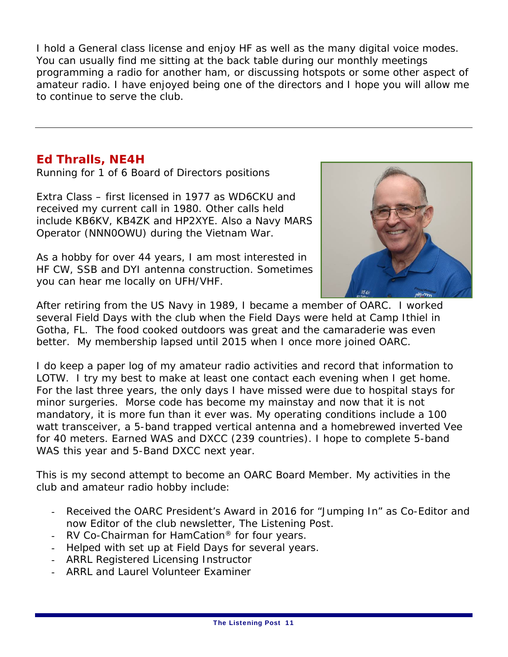I hold a General class license and enjoy HF as well as the many digital voice modes. You can usually find me sitting at the back table during our monthly meetings programming a radio for another ham, or discussing hotspots or some other aspect of amateur radio. I have enjoyed being one of the directors and I hope you will allow me to continue to serve the club.

#### **Ed Thralls, NE4H**

Running for 1 of 6 Board of Directors positions

Extra Class – first licensed in 1977 as WD6CKU and received my current call in 1980. Other calls held include KB6KV, KB4ZK and HP2XYE. Also a Navy MARS Operator (NNN0OWU) during the Vietnam War.

As a hobby for over 44 years, I am most interested in HF CW, SSB and DYI antenna construction. Sometimes you can hear me locally on UFH/VHF.



After retiring from the US Navy in 1989, I became a member of OARC. I worked several Field Days with the club when the Field Days were held at Camp Ithiel in Gotha, FL. The food cooked outdoors was great and the camaraderie was even better. My membership lapsed until 2015 when I once more joined OARC.

I do keep a paper log of my amateur radio activities and record that information to LOTW. I try my best to make at least one contact each evening when I get home. For the last three years, the only days I have missed were due to hospital stays for minor surgeries. Morse code has become my mainstay and now that it is not mandatory, it is more fun than it ever was. My operating conditions include a 100 watt transceiver, a 5-band trapped vertical antenna and a homebrewed inverted Vee for 40 meters. Earned WAS and DXCC (239 countries). I hope to complete 5-band WAS this year and 5-Band DXCC next year.

This is my second attempt to become an OARC Board Member. My activities in the club and amateur radio hobby include:

- Received the OARC President's Award in 2016 for "Jumping In" as Co-Editor and now Editor of the club newsletter, *The Listening Post*.
- RV Co-Chairman for HamCation® for four years.
- Helped with set up at Field Days for several years.
- ARRL Registered Licensing Instructor
- ARRL and Laurel Volunteer Examiner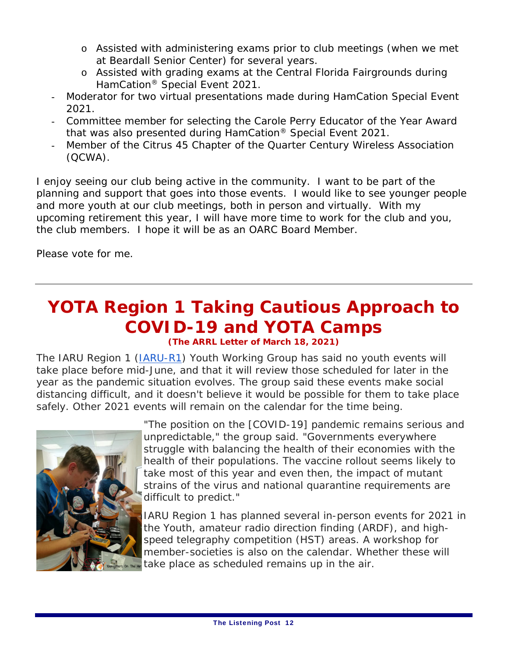- o Assisted with administering exams prior to club meetings (when we met at Beardall Senior Center) for several years.
- o Assisted with grading exams at the Central Florida Fairgrounds during HamCation® Special Event 2021.
- Moderator for two virtual presentations made during HamCation Special Event 2021.
- Committee member for selecting the Carole Perry Educator of the Year Award that was also presented during HamCation® Special Event 2021.
- Member of the Citrus 45 Chapter of the Quarter Century Wireless Association (QCWA).

I enjoy seeing our club being active in the community. I want to be part of the planning and support that goes into those events. I would like to see younger people and more youth at our club meetings, both in person and virtually. With my upcoming retirement this year, I will have more time to work for the club and you, the club members. I hope it will be as an OARC Board Member.

Please vote for me.

### **YOTA Region 1 Taking Cautious Approach to COVID-19 and YOTA Camps**

**(The ARRL Letter of March 18, 2021)**

The IARU Region 1 (IARU-R1) Youth Working Group has said no youth events will take place before mid-June, and that it will review those scheduled for later in the year as the pandemic situation evolves. The group said these events make social distancing difficult, and it doesn't believe it would be possible for them to take place safely. Other 2021 events will remain on the calendar for the time being.



"The position on the [COVID-19] pandemic remains serious and unpredictable," the group said. "Governments everywhere struggle with balancing the health of their economies with the health of their populations. The vaccine rollout seems likely to take most of this year and even then, the impact of mutant strains of the virus and national quarantine requirements are difficult to predict."

IARU Region 1 has planned several in-person events for 2021 in the Youth, amateur radio direction finding (ARDF), and highspeed telegraphy competition (HST) areas. A workshop for member-societies is also on the calendar. Whether these will take place as scheduled remains up in the air.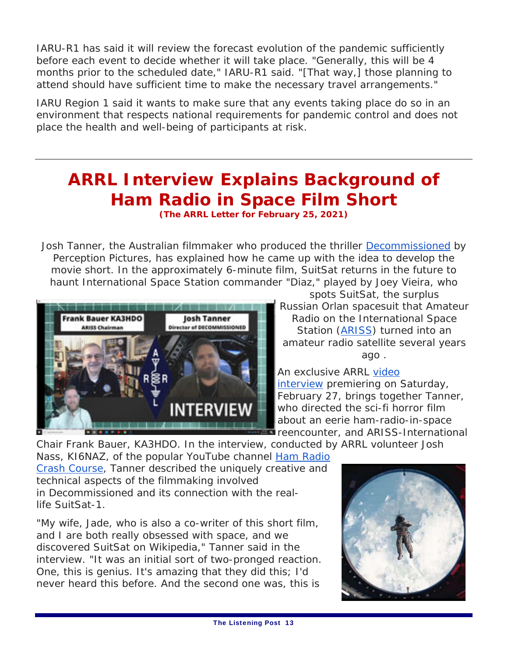IARU-R1 has said it will review the forecast evolution of the pandemic sufficiently before each event to decide whether it will take place. "Generally, this will be 4 months prior to the scheduled date," IARU-R1 said. "[That way,] those planning to attend should have sufficient time to make the necessary travel arrangements."

IARU Region 1 said it wants to make sure that any events taking place do so in an environment that respects national requirements for pandemic control and does not place the health and well-being of participants at risk.

### **ARRL Interview Explains Background of Ham Radio in Space Film Short**

**(The ARRL Letter for February 25, 2021)** 

Josh Tanner, the Australian filmmaker who produced the thriller *Decommissioned* by Perception Pictures, has explained how he came up with the idea to develop the movie short. In the approximately 6-minute film, SuitSat returns in the future to haunt International Space Station commander "Diaz," played by Joey Vieira, who



spots SuitSat, the surplus Russian *Orlan* spacesuit that Amateur Radio on the International Space Station (ARISS) turned into an amateur radio satellite several years ago .

An exclusive ARRL video interview premiering on Saturday, February 27, brings together Tanner, who directed the sci-fi horror film about an eerie ham-radio-in-space **F**reencounter, and ARISS-International

Chair Frank Bauer, KA3HDO. In the interview, conducted by ARRL volunteer Josh

Nass, KI6NAZ, of the popular YouTube channel Ham Radio Crash Course, Tanner described the uniquely creative and technical aspects of the filmmaking involved in *Decommissioned* and its connection with the reallife *SuitSat-1.*

"My wife, Jade, who is also a co-writer of this short film, and I are both really obsessed with space, and we discovered SuitSat on Wikipedia," Tanner said in the interview. "It was an initial sort of two-pronged reaction. One, this is genius. It's amazing that they did this; I'd never heard this before. And the second one was, this is

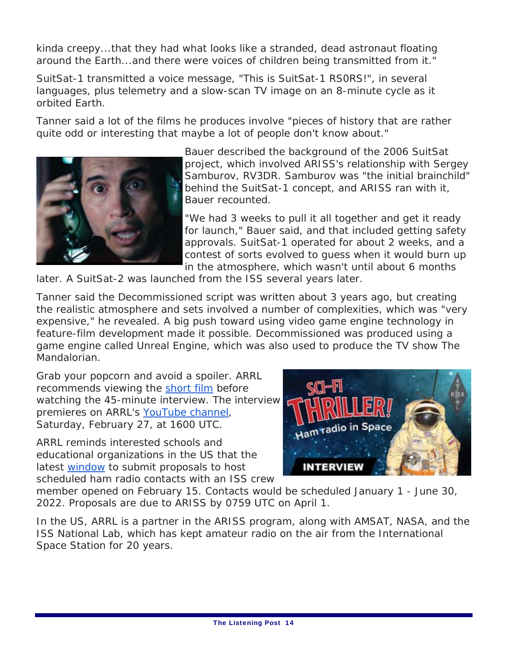kinda creepy...that they had what looks like a stranded, dead astronaut floating around the Earth...and there were voices of children being transmitted from it."

*SuitSat-1* transmitted a voice message, "This is SuitSat-1 RS0RS!", in several languages, plus telemetry and a slow-scan TV image on an 8-minute cycle as it orbited Earth.

Tanner said a lot of the films he produces involve "pieces of history that are rather quite odd or interesting that maybe a lot of people don't know about."



Bauer described the background of the 2006 SuitSat project, which involved ARISS's relationship with Sergey Samburov, RV3DR. Samburov was "the initial brainchild" behind the *SuitSat-1* concept, and ARISS ran with it, Bauer recounted.

"We had 3 weeks to pull it all together and get it ready for launch," Bauer said, and that included getting safety approvals. *SuitSat-1* operated for about 2 weeks, and a contest of sorts evolved to guess when it would burn up in the atmosphere, which wasn't until about 6 months

later. A *SuitSat-2* was launched from the ISS several years later.

Tanner said the *Decommissioned* script was written about 3 years ago, but creating the realistic atmosphere and sets involved a number of complexities, which was "very expensive," he revealed. A big push toward using video game engine technology in feature-film development made it possible. *Decommissioned* was produced using a game engine called *Unreal Engine*, which was also used to produce the TV show *The Mandalorian*.

Grab your popcorn and avoid a spoiler. ARRL recommends viewing the short film before watching the 45-minute interview. The interview premieres on ARRL's YouTube channel, Saturday, February 27, at 1600 UTC.

ARRL reminds interested schools and educational organizations in the US that the latest window to submit proposals to host scheduled ham radio contacts with an ISS crew



member opened on February 15. Contacts would be scheduled January 1 - June 30, 2022. Proposals are due to ARISS by 0759 UTC on April 1.

In the US, ARRL is a partner in the ARISS program, along with AMSAT, NASA, and the ISS National Lab, which has kept amateur radio on the air from the International Space Station for 20 years.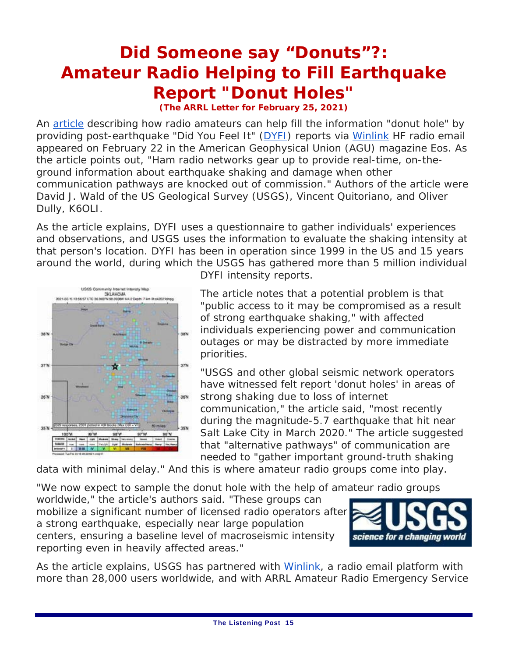### **Did Someone say "Donuts"?: Amateur Radio Helping to Fill Earthquake Report "Donut Holes"**

**(The ARRL Letter for February 25, 2021)**

An article describing how radio amateurs can help fill the information "donut hole" by providing post-earthquake "Did You Feel It" (DYFI) reports via Winlink HF radio email appeared on February 22 in the American Geophysical Union (AGU) magazine *Eos*. As the article points out, "Ham radio networks gear up to provide real-time, on-theground information about earthquake shaking and damage when other communication pathways are knocked out of commission." Authors of the article were David J. Wald of the US Geological Survey (USGS), Vincent Quitoriano, and Oliver Dully, K6OLI.

As the article explains, DYFI uses a questionnaire to gather individuals' experiences and observations, and USGS uses the information to evaluate the shaking intensity at that person's location. DYFI has been in operation since 1999 in the US and 15 years around the world, during which the USGS has gathered more than 5 million individual



DYFI intensity reports.

The article notes that a potential problem is that "public access to it may be compromised as a result of strong earthquake shaking," with affected individuals experiencing power and communication outages or may be distracted by more immediate priorities.

"USGS and other global seismic network operators have witnessed felt report 'donut holes' in areas of strong shaking due to loss of internet communication," the article said, "most recently during the magnitude-5.7 earthquake that hit near Salt Lake City in March 2020." The article suggested that "alternative pathways" of communication are needed to "gather important ground-truth shaking

data with minimal delay." And this is where amateur radio groups come into play.

"We now expect to sample the donut hole with the help of amateur radio groups worldwide," the article's authors said. "These groups can mobilize a significant number of licensed radio operators after a strong earthquake, especially near large population centers, ensuring a baseline level of macroseismic intensity reporting even in heavily affected areas."



As the article explains, USGS has partnered with Winlink, a radio email platform with more than 28,000 users worldwide, and with ARRL Amateur Radio Emergency Service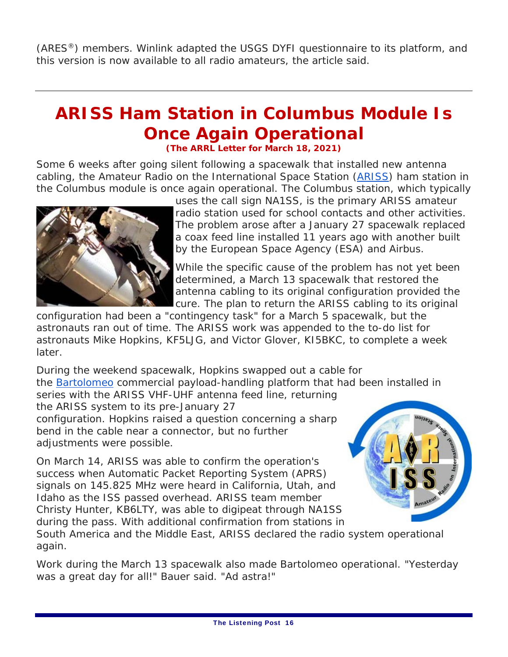(ARES®) members. Winlink adapted the USGS DYFI questionnaire to its platform, and this version is now available to all radio amateurs, the article said.

### **ARISS Ham Station in Columbus Module Is Once Again Operational**

**(The ARRL Letter for March 18, 2021)**

Some 6 weeks after going silent following a spacewalk that installed new antenna cabling, the Amateur Radio on the International Space Station (ARISS) ham station in the Columbus module is once again operational. The Columbus station, which typically



uses the call sign NA1SS, is the primary ARISS amateur radio station used for school contacts and other activities. The problem arose after a January 27 spacewalk replaced a coax feed line installed 11 years ago with another built by the European Space Agency (ESA) and Airbus.

While the specific cause of the problem has not yet been determined, a March 13 spacewalk that restored the antenna cabling to its original configuration provided the cure. The plan to return the ARISS cabling to its original

configuration had been a "contingency task" for a March 5 spacewalk, but the astronauts ran out of time. The ARISS work was appended to the to-do list for astronauts Mike Hopkins, KF5LJG, and Victor Glover, KI5BKC, to complete a week later.

During the weekend spacewalk, Hopkins swapped out a cable for the Bartolomeo commercial payload-handling platform that had been installed in series with the ARISS VHF-UHF antenna feed line, returning

the ARISS system to its pre-January 27 configuration. Hopkins raised a question concerning a sharp bend in the cable near a connector, but no further adjustments were possible.

On March 14, ARISS was able to confirm the operation's success when Automatic Packet Reporting System (APRS) signals on 145.825 MHz were heard in California, Utah, and Idaho as the ISS passed overhead. ARISS team member Christy Hunter, KB6LTY, was able to digipeat through NA1SS during the pass. With additional confirmation from stations in



South America and the Middle East, ARISS declared the radio system operational again.

Work during the March 13 spacewalk also made Bartolomeo operational. "Yesterday was a great day for all!" Bauer said. "Ad astra!"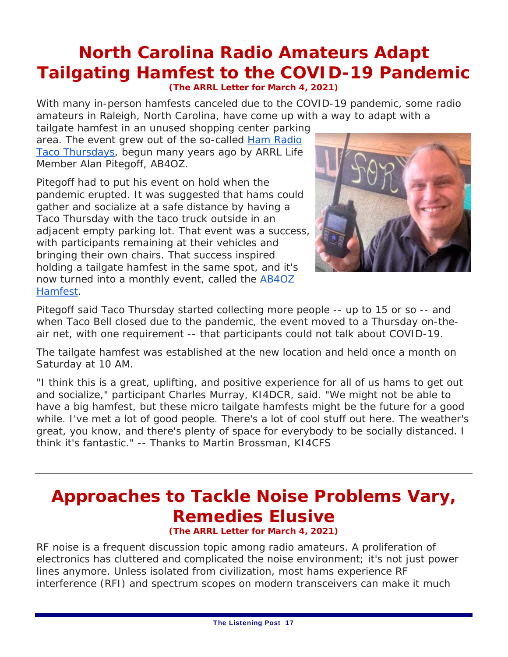### **North Carolina Radio Amateurs Adapt Tailgating Hamfest to the COVID-19 Pandemic**

**(The ARRL Letter for March 4, 2021)**

With many in-person hamfests canceled due to the COVID-19 pandemic, some radio amateurs in Raleigh, North Carolina, have come up with a way to adapt with a

tailgate hamfest in an unused shopping center parking area. The event grew out of the so-called Ham Radio Taco Thursdays, begun many years ago by ARRL Life Member Alan Pitegoff, AB4OZ.

Pitegoff had to put his event on hold when the pandemic erupted. It was suggested that hams could gather and socialize at a safe distance by having a Taco Thursday with the taco truck outside in an adjacent empty parking lot. That event was a success, with participants remaining at their vehicles and bringing their own chairs. That success inspired holding a tailgate hamfest in the same spot, and it's now turned into a monthly event, called the AB4OZ Hamfest.



Pitegoff said Taco Thursday started collecting more people -- up to 15 or so -- and when Taco Bell closed due to the pandemic, the event moved to a Thursday on-theair net, with one requirement -- that participants could not talk about COVID-19.

The tailgate hamfest was established at the new location and held once a month on Saturday at 10 AM.

"I think this is a great, uplifting, and positive experience for all of us hams to get out and socialize," participant Charles Murray, KI4DCR, said. "We might not be able to have a big hamfest, but these micro tailgate hamfests might be the future for a good while. I've met a lot of good people. There's a lot of cool stuff out here. The weather's great, you know, and there's plenty of space for everybody to be socially distanced. I think it's fantastic." *-- Thanks to Martin Brossman, KI4CFS*

### **Approaches to Tackle Noise Problems Vary, Remedies Elusive**

**(The ARRL Letter for March 4, 2021)**

RF noise is a frequent discussion topic among radio amateurs. A proliferation of electronics has cluttered and complicated the noise environment; it's not just power lines anymore. Unless isolated from civilization, most hams experience RF interference (RFI) and spectrum scopes on modern transceivers can make it much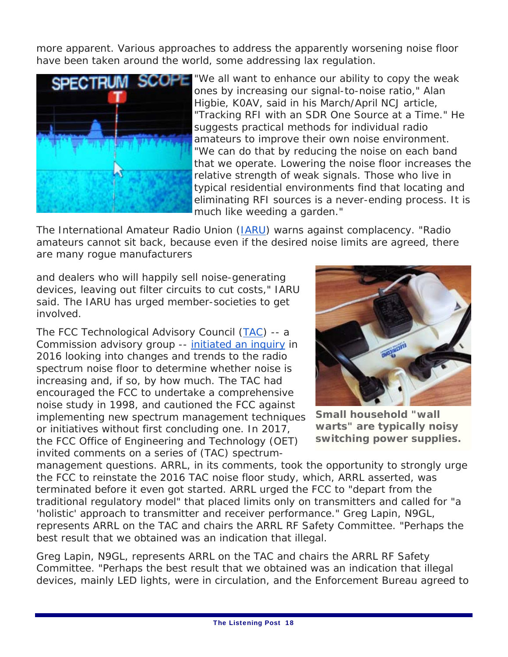more apparent. Various approaches to address the apparently worsening noise floor have been taken around the world, some addressing lax regulation.



SCOPE "We all want to enhance our ability to copy the weak ones by increasing our signal-to-noise ratio," Alan Higbie, K0AV, said in his March/April *NCJ* article, "Tracking RFI with an SDR One Source at a Time." He suggests practical methods for individual radio amateurs to improve their own noise environment. "We can do that by reducing the noise on each band that we operate. Lowering the noise floor increases the relative strength of weak signals. Those who live in typical residential environments find that locating and eliminating RFI sources is a never-ending process. It is much like weeding a garden."

The International Amateur Radio Union (*IARU*) warns against complacency. "Radio amateurs cannot sit back, because even if the desired noise limits are agreed, there are many rogue manufacturers

and dealers who will happily sell noise-generating devices, leaving out filter circuits to cut costs," IARU said. The IARU has urged member-societies to get involved.

The FCC Technological Advisory Council (TAC) -- a Commission advisory group -- initiated an inquiry in 2016 looking into changes and trends to the radio spectrum noise floor to determine whether noise is increasing and, if so, by how much. The TAC had encouraged the FCC to undertake a comprehensive noise study in 1998, and cautioned the FCC against implementing new spectrum management techniques or initiatives without first concluding one. In 2017, the FCC Office of Engineering and Technology (OET) invited comments on a series of (TAC) spectrum-



**Small household "wall warts" are typically noisy switching power supplies.**

management questions. ARRL, in its comments, took the opportunity to strongly urge the FCC to reinstate the 2016 TAC noise floor study, which, ARRL asserted, was terminated before it even got started. ARRL urged the FCC to "depart from the traditional regulatory model" that placed limits only on transmitters and called for "a 'holistic' approach to transmitter and receiver performance." Greg Lapin, N9GL, represents ARRL on the TAC and chairs the ARRL RF Safety Committee. "Perhaps the best result that we obtained was an indication that illegal.

Greg Lapin, N9GL, represents ARRL on the TAC and chairs the ARRL RF Safety Committee. "Perhaps the best result that we obtained was an indication that illegal devices, mainly LED lights, were in circulation, and the Enforcement Bureau agreed to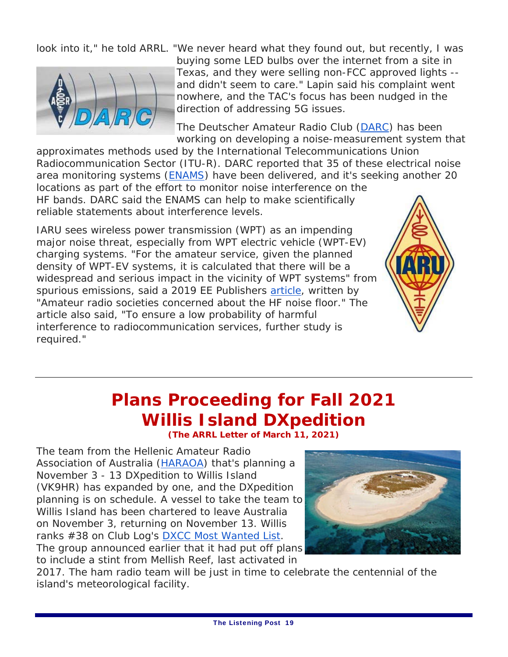

look into it," he told ARRL. "We never heard what they found out, but recently, I was buying some LED bulbs over the internet from a site in Texas, and they were selling non-FCC approved lights - and didn't seem to care." Lapin said his complaint went nowhere, and the TAC's focus has been nudged in the direction of addressing 5G issues.

> The Deutscher Amateur Radio Club (DARC) has been working on developing a noise-measurement system that

approximates methods used by the International Telecommunications Union Radiocommunication Sector (ITU-R). DARC reported that 35 of these electrical noise area monitoring systems (ENAMS) have been delivered, and it's seeking another 20 locations as part of the effort to monitor noise interference on the HF bands. DARC said the ENAMS can help to make scientifically reliable statements about interference levels.

IARU sees wireless power transmission (WPT) as an impending major noise threat, especially from WPT electric vehicle (WPT-EV) charging systems. "For the amateur service, given the planned density of WPT-EV systems, it is calculated that there will be a widespread and serious impact in the vicinity of WPT systems" from spurious emissions, said a 2019 *EE Publishers* article, written by "Amateur radio societies concerned about the HF noise floor." The article also said, "To ensure a low probability of harmful interference to radiocommunication services, further study is required."



### **Plans Proceeding for Fall 2021 Willis Island DXpedition**

**(The ARRL Letter of March 11, 2021)**

The team from the Hellenic Amateur Radio Association of Australia (HARAOA) that's planning a November 3 - 13 DXpedition to Willis Island (VK9HR) has expanded by one, and the DXpedition planning is on schedule. A vessel to take the team to Willis Island has been chartered to leave Australia on November 3, returning on November 13. Willis ranks #38 on Club Log's DXCC Most Wanted List. The group announced earlier that it had put off plans

to include a stint from Mellish Reef, last activated in



2017. The ham radio team will be just in time to celebrate the centennial of the island's meteorological facility.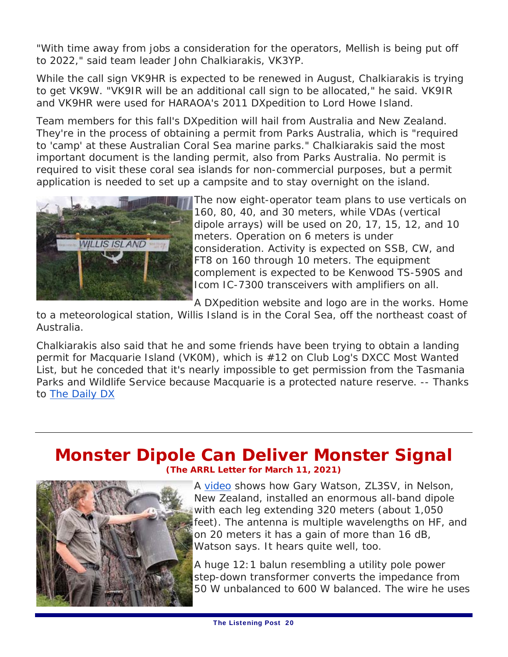"With time away from jobs a consideration for the operators, Mellish is being put off to 2022," said team leader John Chalkiarakis, VK3YP.

While the call sign VK9HR is expected to be renewed in August, Chalkiarakis is trying to get VK9W. "VK9IR will be an additional call sign to be allocated," he said. VK9IR and VK9HR were used for HARAOA's 2011 DXpedition to Lord Howe Island.

Team members for this fall's DXpedition will hail from Australia and New Zealand. They're in the process of obtaining a permit from Parks Australia, which is "required to 'camp' at these Australian Coral Sea marine parks." Chalkiarakis said the most important document is the landing permit, also from Parks Australia. No permit is required to visit these coral sea islands for non-commercial purposes, but a permit application is needed to set up a campsite and to stay overnight on the island.



The now eight-operator team plans to use verticals on 160, 80, 40, and 30 meters, while VDAs (vertical dipole arrays) will be used on 20, 17, 15, 12, and 10 meters. Operation on 6 meters is under consideration. Activity is expected on SSB, CW, and FT8 on 160 through 10 meters. The equipment complement is expected to be Kenwood TS-590S and Icom IC-7300 transceivers with amplifiers on all.

A DXpedition website and logo are in the works. Home

to a meteorological station, Willis Island is in the Coral Sea, off the northeast coast of Australia.

Chalkiarakis also said that he and some friends have been trying to obtain a landing permit for Macquarie Island (VK0M), which is #12 on Club Log's DXCC Most Wanted List, but he conceded that it's nearly impossible to get permission from the Tasmania Parks and Wildlife Service because Macquarie is a protected nature reserve. *-- Thanks to* The Daily DX

#### **Monster Dipole Can Deliver Monster Signal (The ARRL Letter for March 11, 2021)**



A video shows how Gary Watson, ZL3SV, in Nelson, New Zealand, installed an enormous all-band dipole with each leg extending 320 meters (about 1,050 feet). The antenna is multiple wavelengths on HF, and on 20 meters it has a gain of more than 16 dB, Watson says. It hears quite well, too.

A huge 12:1 balun resembling a utility pole power step-down transformer converts the impedance from 50 W unbalanced to 600 W balanced. The wire he uses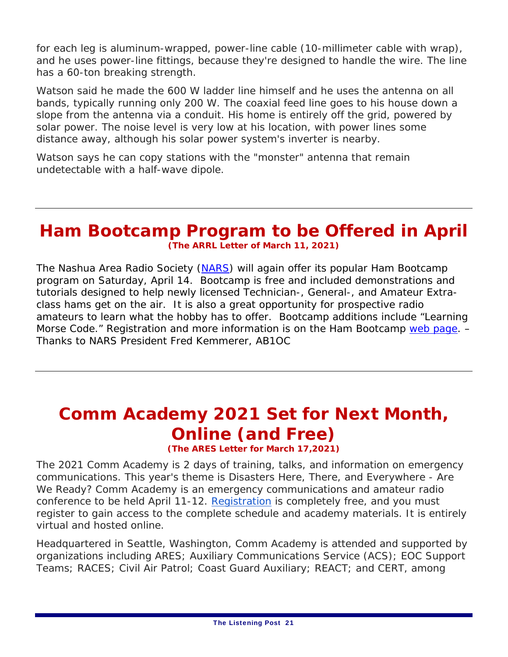for each leg is aluminum-wrapped, power-line cable (10-millimeter cable with wrap), and he uses power-line fittings, because they're designed to handle the wire. The line has a 60-ton breaking strength.

Watson said he made the 600 W ladder line himself and he uses the antenna on all bands, typically running only 200 W. The coaxial feed line goes to his house down a slope from the antenna via a conduit. His home is entirely off the grid, powered by solar power. The noise level is very low at his location, with power lines some distance away, although his solar power system's inverter is nearby.

Watson says he can copy stations with the "monster" antenna that remain undetectable with a half-wave dipole.

#### **Ham Bootcamp Program to be Offered in April (The ARRL Letter of March 11, 2021)**

The Nashua Area Radio Society (NARS) will again offer its popular Ham Bootcamp program on Saturday, April 14. Bootcamp is free and included demonstrations and tutorials designed to help newly licensed Technician-, General-, and Amateur Extraclass hams get on the air. It is also a great opportunity for prospective radio amateurs to learn what the hobby has to offer. Bootcamp additions include "Learning Morse Code." Registration and more information is on the Ham Bootcamp web page. -*Thanks to NARS President Fred Kemmerer, AB1OC* 

### **Comm Academy 2021 Set for Next Month, Online (and Free)**

**(The ARES Letter for March 17,2021)** 

The 2021 Comm Academy is 2 days of training, talks, and information on emergency communications. This year's theme is *Disasters Here, There, and Everywhere - Are We Ready?* Comm Academy is an emergency communications and amateur radio conference to be held April 11-12. Registration is completely free, and you must register to gain access to the complete schedule and academy materials. It is entirely virtual and hosted online.

Headquartered in Seattle, Washington, Comm Academy is attended and supported by organizations including ARES; Auxiliary Communications Service (ACS); EOC Support Teams; RACES; Civil Air Patrol; Coast Guard Auxiliary; REACT; and CERT, among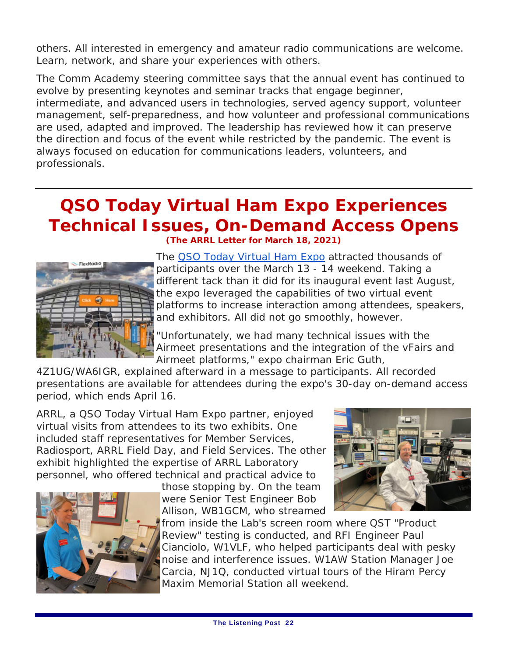others. All interested in emergency and amateur radio communications are welcome. Learn, network, and share your experiences with others.

The Comm Academy steering committee says that the annual event has continued to evolve by presenting keynotes and seminar tracks that engage beginner, intermediate, and advanced users in technologies, served agency support, volunteer management, self-preparedness, and how volunteer and professional communications are used, adapted and improved. The leadership has reviewed how it can preserve the direction and focus of the event while restricted by the pandemic. The event is always focused on education for communications leaders, volunteers, and professionals.

### **QSO Today Virtual Ham Expo Experiences Technical Issues, On-Demand Access Opens**



**(The ARRL Letter for March 18, 2021)**

The QSO Today Virtual Ham Expo attracted thousands of participants over the March 13 - 14 weekend. Taking a different tack than it did for its inaugural event last August, the expo leveraged the capabilities of two virtual event platforms to increase interaction among attendees, speakers, and exhibitors. All did not go smoothly, however.

"Unfortunately, we had many technical issues with the Airmeet presentations and the integration of the vFairs and Airmeet platforms," expo chairman Eric Guth,

4Z1UG/WA6IGR, explained afterward in a message to participants. All recorded presentations are available for attendees during the expo's 30-day on-demand access period, which ends April 16.

ARRL, a QSO Today Virtual Ham Expo partner, enjoyed virtual visits from attendees to its two exhibits. One included staff representatives for Member Services, Radiosport, ARRL Field Day, and Field Services. The other exhibit highlighted the expertise of ARRL Laboratory personnel, who offered technical and practical advice to



those stopping by. On the team were Senior Test Engineer Bob Allison, WB1GCM, who streamed



from inside the Lab's screen room where *QST* "Product Review" testing is conducted, and RFI Engineer Paul Cianciolo, W1VLF, who helped participants deal with pesky noise and interference issues. W1AW Station Manager Joe Carcia, NJ1Q, conducted virtual tours of the Hiram Percy Maxim Memorial Station all weekend.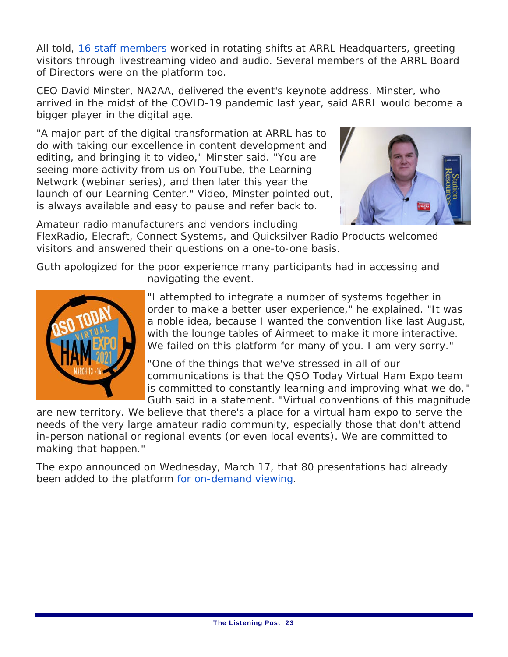All told, 16 staff members worked in rotating shifts at ARRL Headquarters, greeting visitors through livestreaming video and audio. Several members of the ARRL Board of Directors were on the platform too.

CEO David Minster, NA2AA, delivered the event's keynote address. Minster, who arrived in the midst of the COVID-19 pandemic last year, said ARRL would become a bigger player in the digital age.

"A major part of the digital transformation at ARRL has to do with taking our excellence in content development and editing, and bringing it to video," Minster said. "You are seeing more activity from us on YouTube, the Learning Network (webinar series), and then later this year the launch of our Learning Center." Video, Minster pointed out, is always available and easy to pause and refer back to.



Amateur radio manufacturers and vendors including

FlexRadio, Elecraft, Connect Systems, and Quicksilver Radio Products welcomed visitors and answered their questions on a one-to-one basis.

Guth apologized for the poor experience many participants had in accessing and navigating the event.



"I attempted to integrate a number of systems together in order to make a better user experience," he explained. "It was a noble idea, because I wanted the convention like last August, with the lounge tables of Airmeet to make it more interactive. We failed on this platform for many of you. I am very sorry."

"One of the things that we've stressed in all of our communications is that the QSO Today Virtual Ham Expo team is committed to constantly learning and improving what we do," Guth said in a statement. "Virtual conventions of this magnitude

are new territory. We believe that there's a place for a virtual ham expo to serve the needs of the very large amateur radio community, especially those that don't attend in-person national or regional events (or even local events). We are committed to making that happen."

The expo announced on Wednesday, March 17, that 80 presentations had already been added to the platform for on-demand viewing.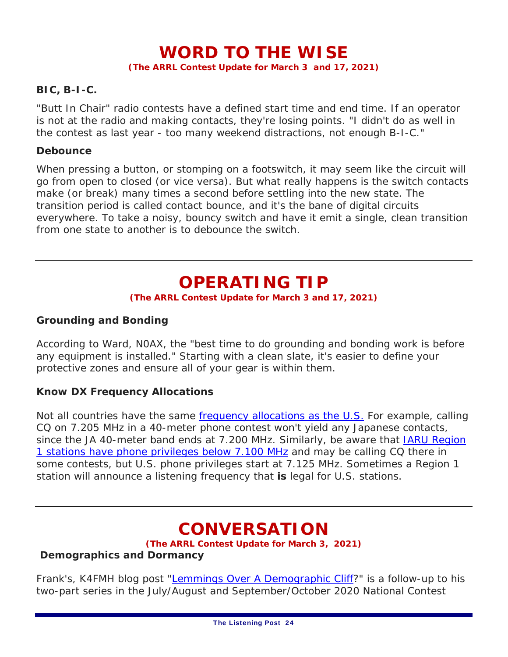### **WORD TO THE WISE**

**(The ARRL Contest Update for March 3 and 17, 2021)**

#### **BIC, B-I-C.**

"Butt In Chair" radio contests have a defined start time and end time. If an operator is not at the radio and making contacts, they're losing points. "I didn't do as well in the contest as last year - too many weekend distractions, not enough B-I-C."

#### **Debounce**

When pressing a button, or stomping on a footswitch, it may seem like the circuit will go from open to closed (or vice versa). But what *really* happens is the switch contacts make (or break) many times a second before settling into the new state. The transition period is called contact *bounce*, and it's the bane of digital circuits everywhere. To take a noisy, bouncy switch and have it emit a single, clean transition from one state to another is to *debounce* the switch.

### **OPERATING TIP**

#### **(The ARRL Contest Update for March 3 and 17, 2021)**

#### **Grounding and Bonding**

According to Ward, N0AX, the "best time to do grounding and bonding work is before any equipment is installed." Starting with a clean slate, it's easier to define your protective zones and ensure all of your gear is within them.

#### **Know DX Frequency Allocations**

Not all countries have the same frequency allocations as the U.S. For example, calling CQ on 7.205 MHz in a 40-meter phone contest won't yield any Japanese contacts, since the JA 40-meter band ends at 7.200 MHz. Similarly, be aware that IARU Region 1 stations have phone privileges below 7.100 MHz and may be calling CQ there in some contests, but U.S. phone privileges start at 7.125 MHz. Sometimes a Region 1 station will announce a listening frequency that **is** legal for U.S. stations.

### **CONVERSATION**

**(The ARRL Contest Update for March 3, 2021)**

#### **Demographics and Dormancy**

Frank's, K4FMH blog post "Lemmings Over A Demographic Cliff?" is a follow-up to his two-part series in the July/August and September/October 2020 National Contest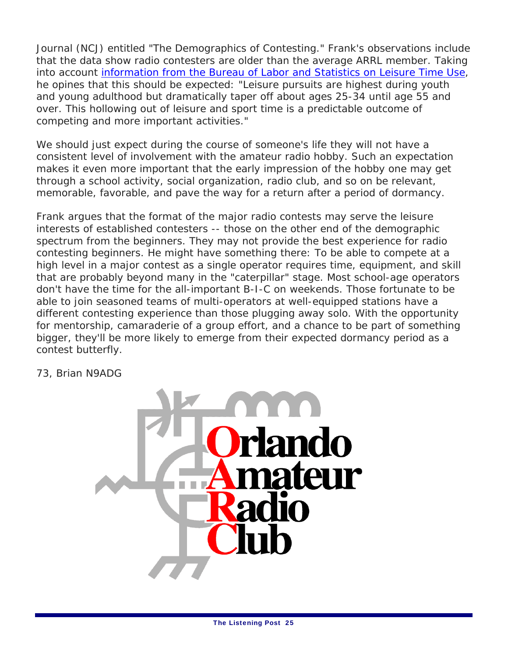Journal (NCJ) entitled "The Demographics of Contesting." Frank's observations include that the data show radio contesters are older than the average ARRL member. Taking into account information from the Bureau of Labor and Statistics on Leisure Time Use, he opines that this should be expected: "Leisure pursuits are highest during youth and young adulthood but dramatically taper off about ages 25-34 until age 55 and over. This hollowing out of leisure and sport time is a predictable outcome of competing and more important activities."

We should just expect during the course of someone's life they will not have a consistent level of involvement with the amateur radio hobby. Such an expectation makes it even more important that the early impression of the hobby one may get through a school activity, social organization, radio club, and so on be relevant, memorable, favorable, and pave the way for a return after a period of dormancy.

Frank argues that the format of the major radio contests may serve the leisure interests of established contesters -- those on the other end of the demographic spectrum from the beginners. They may not provide the best experience for radio contesting beginners. He might have something there: To be able to compete at a high level in a major contest as a single operator requires time, equipment, and skill that are probably beyond many in the "caterpillar" stage. Most school-age operators don't have the time for the all-important B-I-C on weekends. Those fortunate to be able to join seasoned teams of multi-operators at well-equipped stations have a different contesting experience than those plugging away solo. With the opportunity for mentorship, camaraderie of a group effort, and a chance to be part of something bigger, they'll be more likely to emerge from their expected dormancy period as a contest butterfly.

73, Brian N9ADG

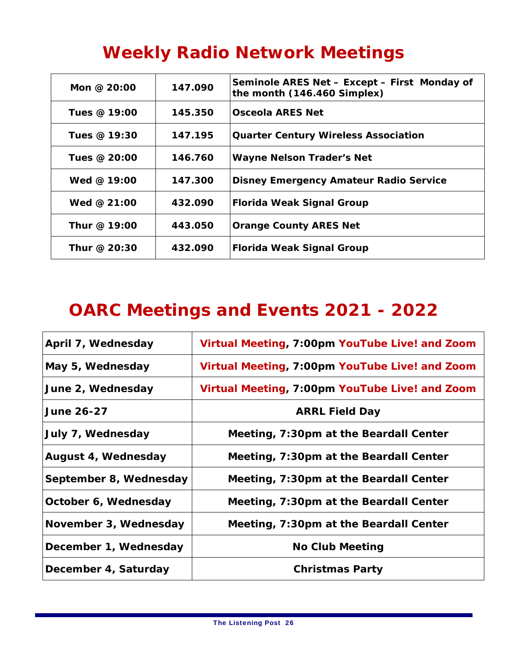### **Weekly Radio Network Meetings**

| Mon @ $20:00$ | 147.090 | Seminole ARES Net - Except - First Monday of<br>the month (146.460 Simplex) |
|---------------|---------|-----------------------------------------------------------------------------|
| Tues @ 19:00  | 145.350 | Osceola ARES Net                                                            |
| Tues @ 19:30  | 147.195 | <b>Quarter Century Wireless Association</b>                                 |
| Tues @ 20:00  | 146.760 | <b>Wayne Nelson Trader's Net</b>                                            |
| Wed @ $19:00$ | 147.300 | <b>Disney Emergency Amateur Radio Service</b>                               |
| Wed @ $21:00$ | 432.090 | <b>Florida Weak Signal Group</b>                                            |
| Thur @ 19:00  | 443.050 | <b>Orange County ARES Net</b>                                               |
| Thur @ 20:30  | 432.090 | <b>Florida Weak Signal Group</b>                                            |

### **OARC Meetings and Events 2021 - 2022**

| April 7, Wednesday     | Virtual Meeting, 7:00pm YouTube Live! and Zoom |
|------------------------|------------------------------------------------|
| May 5, Wednesday       | Virtual Meeting, 7:00pm YouTube Live! and Zoom |
| June 2, Wednesday      | Virtual Meeting, 7:00pm YouTube Live! and Zoom |
| <b>June 26-27</b>      | <b>ARRL Field Day</b>                          |
| July 7, Wednesday      | Meeting, 7:30pm at the Beardall Center         |
| August 4, Wednesday    | Meeting, 7:30pm at the Beardall Center         |
| September 8, Wednesday | Meeting, 7:30pm at the Beardall Center         |
| October 6, Wednesday   | Meeting, 7:30pm at the Beardall Center         |
| November 3, Wednesday  | Meeting, 7:30pm at the Beardall Center         |
| December 1, Wednesday  | <b>No Club Meeting</b>                         |
| December 4, Saturday   | <b>Christmas Party</b>                         |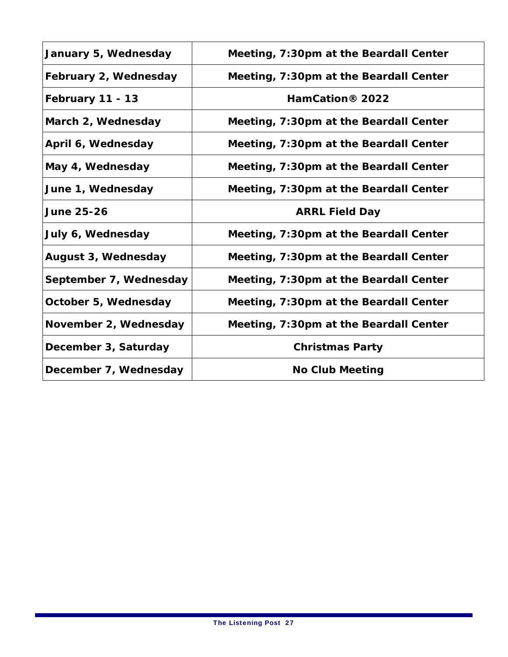| January 5, Wednesday   | Meeting, 7:30pm at the Beardall Center |
|------------------------|----------------------------------------|
| February 2, Wednesday  | Meeting, 7:30pm at the Beardall Center |
| February 11 - 13       | HamCation <sup>®</sup> 2022            |
| March 2, Wednesday     | Meeting, 7:30pm at the Beardall Center |
| April 6, Wednesday     | Meeting, 7:30pm at the Beardall Center |
| May 4, Wednesday       | Meeting, 7:30pm at the Beardall Center |
| June 1, Wednesday      | Meeting, 7:30pm at the Beardall Center |
| <b>June 25-26</b>      | <b>ARRL Field Day</b>                  |
| July 6, Wednesday      | Meeting, 7:30pm at the Beardall Center |
| August 3, Wednesday    | Meeting, 7:30pm at the Beardall Center |
| September 7, Wednesday | Meeting, 7:30pm at the Beardall Center |
| October 5, Wednesday   | Meeting, 7:30pm at the Beardall Center |
| November 2, Wednesday  | Meeting, 7:30pm at the Beardall Center |
| December 3, Saturday   | <b>Christmas Party</b>                 |
| December 7, Wednesday  | <b>No Club Meeting</b>                 |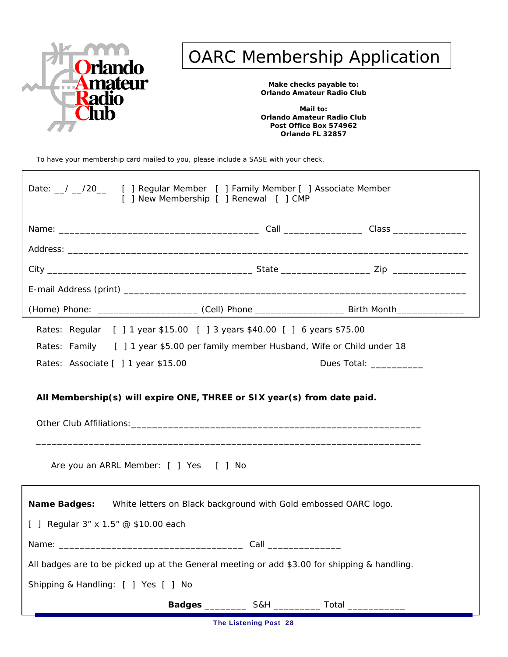

### OARC Membership Application

**Make checks payable to: Orlando Amateur Radio Club** 

**Mail to: Orlando Amateur Radio Club Post Office Box 574962 Orlando FL 32857**

To have your membership card mailed to you, please include a SASE with your check.

| Date: 1 20 [ ] Regular Member [ ] Family Member [ ] Associate Member<br>[ ] New Membership [ ] Renewal [ ] CMP    |                        |                                                                                                                                                                                                                                |  |
|-------------------------------------------------------------------------------------------------------------------|------------------------|--------------------------------------------------------------------------------------------------------------------------------------------------------------------------------------------------------------------------------|--|
|                                                                                                                   |                        |                                                                                                                                                                                                                                |  |
|                                                                                                                   |                        |                                                                                                                                                                                                                                |  |
|                                                                                                                   |                        |                                                                                                                                                                                                                                |  |
|                                                                                                                   |                        |                                                                                                                                                                                                                                |  |
| (Home) Phone: __________________________(Cell) Phone __________________________Birth Month_______________         |                        |                                                                                                                                                                                                                                |  |
| Rates: Regular [ ] 1 year \$15.00 [ ] 3 years \$40.00 [ ] 6 years \$75.00                                         |                        |                                                                                                                                                                                                                                |  |
| Rates: Family [ ] 1 year \$5.00 per family member Husband, Wife or Child under 18                                 |                        |                                                                                                                                                                                                                                |  |
| Rates: Associate [ ] 1 year \$15.00                                                                               |                        | Dues Total: The Contract of the Contract of the Contract of the Contract of the Contract of the Contract of the Contract of the Contract of the Contract of the Contract of the Contract of the Contract of the Contract of th |  |
| All Membership(s) will expire ONE, THREE or SIX year(s) from date paid.<br>Are you an ARRL Member: [ ] Yes [ ] No |                        |                                                                                                                                                                                                                                |  |
| Name Badges: White letters on Black background with Gold embossed OARC logo.                                      |                        |                                                                                                                                                                                                                                |  |
| [ ] Regular 3" x 1.5" @ \$10.00 each                                                                              |                        |                                                                                                                                                                                                                                |  |
|                                                                                                                   | Call _________________ |                                                                                                                                                                                                                                |  |
| All badges are to be picked up at the General meeting or add \$3.00 for shipping & handling.                      |                        |                                                                                                                                                                                                                                |  |
| Shipping & Handling: [ ] Yes [ ] No                                                                               |                        |                                                                                                                                                                                                                                |  |
| Badges ______________ S&H ______________ Total ___________                                                        |                        |                                                                                                                                                                                                                                |  |

The Listening Post 28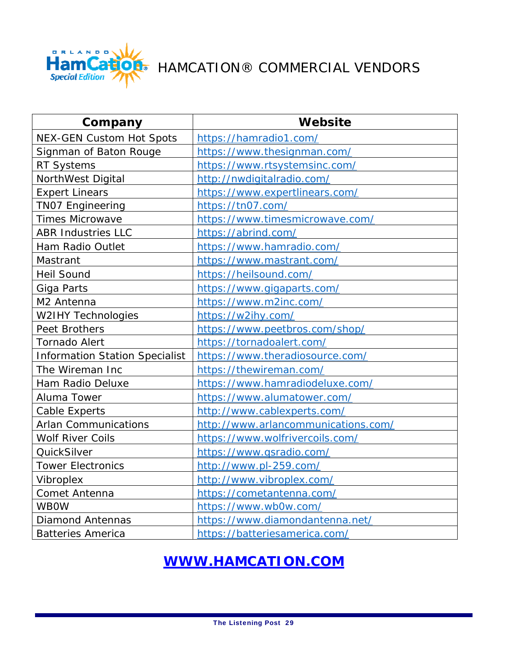

### HAMCATION® COMMERCIAL VENDORS

| Company                               | Website                             |
|---------------------------------------|-------------------------------------|
| <b>NEX-GEN Custom Hot Spots</b>       | https://hamradio1.com/              |
| Signman of Baton Rouge                | https://www.thesignman.com/         |
| <b>RT Systems</b>                     | https://www.rtsystemsinc.com/       |
| NorthWest Digital                     | http://nwdigitalradio.com/          |
| <b>Expert Linears</b>                 | https://www.expertlinears.com/      |
| <b>TNO7 Engineering</b>               | https://tn07.com/                   |
| <b>Times Microwave</b>                | https://www.timesmicrowave.com/     |
| <b>ABR Industries LLC</b>             | https://abrind.com/                 |
| Ham Radio Outlet                      | https://www.hamradio.com/           |
| Mastrant                              | https://www.mastrant.com/           |
| <b>Heil Sound</b>                     | https://heilsound.com/              |
| Giga Parts                            | https://www.gigaparts.com/          |
| M2 Antenna                            | https://www.m2inc.com/              |
| <b>W2IHY Technologies</b>             | https://w2ihy.com/                  |
| Peet Brothers                         | https://www.peetbros.com/shop/      |
| <b>Tornado Alert</b>                  | https://tornadoalert.com/           |
| <b>Information Station Specialist</b> | https://www.theradiosource.com/     |
| The Wireman Inc                       | https://thewireman.com/             |
| Ham Radio Deluxe                      | https://www.hamradiodeluxe.com/     |
| Aluma Tower                           | https://www.alumatower.com/         |
| <b>Cable Experts</b>                  | http://www.cablexperts.com/         |
| <b>Arlan Communications</b>           | http://www.arlancommunications.com/ |
| <b>Wolf River Coils</b>               | https://www.wolfrivercoils.com/     |
| QuickSilver                           | https://www.qsradio.com/            |
| <b>Tower Electronics</b>              | http://www.pl-259.com/              |
| Vibroplex                             | http://www.vibroplex.com/           |
| Comet Antenna                         | https://cometantenna.com/           |
| <b>WBOW</b>                           | https://www.wb0w.com/               |
| <b>Diamond Antennas</b>               | https://www.diamondantenna.net/     |
| <b>Batteries America</b>              | https://batteriesamerica.com/       |

### **WWW.HAMCATION.COM**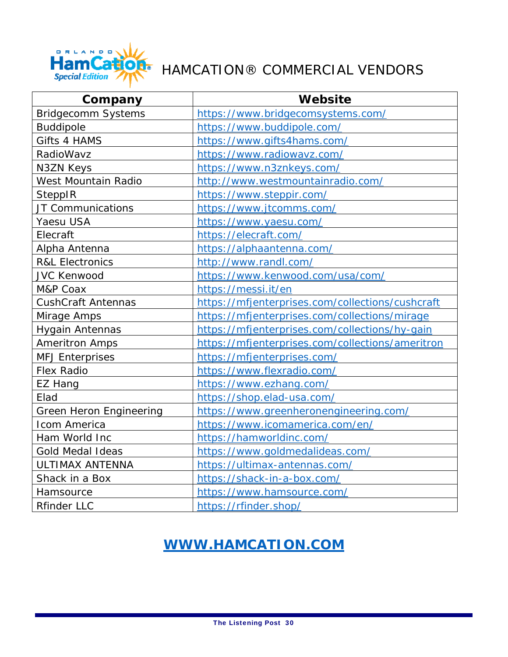

### HAMCATION® COMMERCIAL VENDORS

| Company                    | Website                                          |
|----------------------------|--------------------------------------------------|
| <b>Bridgecomm Systems</b>  | https://www.bridgecomsystems.com/                |
| <b>Buddipole</b>           | https://www.buddipole.com/                       |
| Gifts 4 HAMS               | https://www.gifts4hams.com/                      |
| RadioWavz                  | https://www.radiowavz.com/                       |
| N3ZN Keys                  | https://www.n3znkeys.com/                        |
| West Mountain Radio        | http://www.westmountainradio.com/                |
| SteppIR                    | https://www.steppir.com/                         |
| JT Communications          | https://www.jtcomms.com/                         |
| Yaesu USA                  | https://www.yaesu.com/                           |
| Elecraft                   | https://elecraft.com/                            |
| Alpha Antenna              | https://alphaantenna.com/                        |
| <b>R&amp;L Electronics</b> | http://www.randl.com/                            |
| <b>JVC Kenwood</b>         | https://www.kenwood.com/usa/com/                 |
| M&P Coax                   | https://messi.it/en                              |
| <b>CushCraft Antennas</b>  | https://mfjenterprises.com/collections/cushcraft |
| Mirage Amps                | https://mfjenterprises.com/collections/mirage    |
| <b>Hygain Antennas</b>     | https://mfjenterprises.com/collections/hy-gain   |
| <b>Ameritron Amps</b>      | https://mfjenterprises.com/collections/ameritron |
| <b>MFJ Enterprises</b>     | https://mfjenterprises.com/                      |
| <b>Flex Radio</b>          | https://www.flexradio.com/                       |
| EZ Hang                    | https://www.ezhang.com/                          |
| Elad                       | https://shop.elad-usa.com/                       |
| Green Heron Engineering    | https://www.greenheronengineering.com/           |
| Icom America               | https://www.icomamerica.com/en/                  |
| Ham World Inc              | https://hamworldinc.com/                         |
| <b>Gold Medal Ideas</b>    | https://www.goldmedalideas.com/                  |
| ULTIMAX ANTENNA            | https://ultimax-antennas.com/                    |
| Shack in a Box             | https://shack-in-a-box.com/                      |
| Hamsource                  | https://www.hamsource.com/                       |
| <b>Rfinder LLC</b>         | https://rfinder.shop/                            |

### **WWW.HAMCATION.COM**